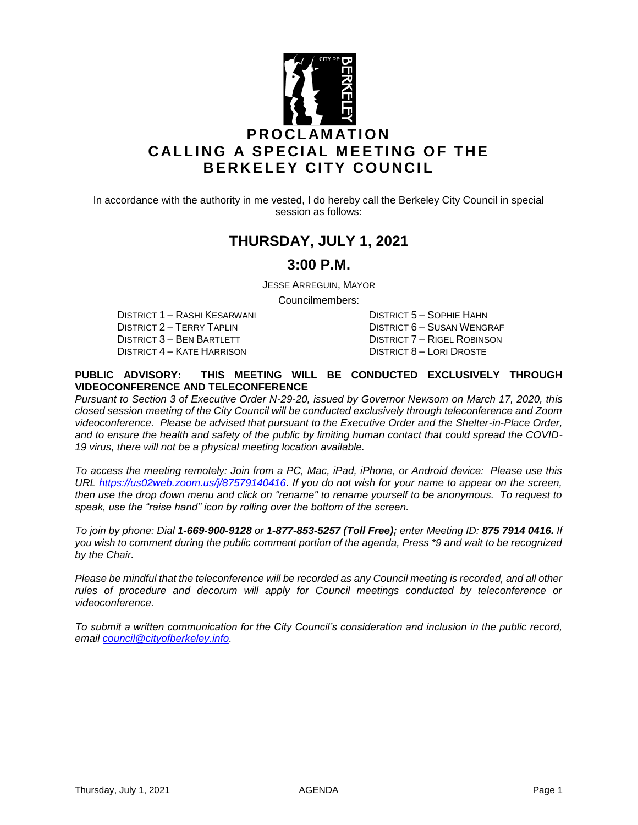

In accordance with the authority in me vested, I do hereby call the Berkeley City Council in special session as follows:

## **THURSDAY, JULY 1, 2021**

### **3:00 P.M.**

JESSE ARREGUIN, MAYOR

Councilmembers:

DISTRICT 2 – TERRY TAPLIN DISTRICT 6 – SUSAN WENGRAF DISTRICT 3 – BEN BARTLETT DISTRICT 7 – RIGEL ROBINSON<br>DISTRICT 4 – KATE HARRISON DISTRICT 8 – LORI DROSTE

DISTRICT 1 – RASHI KESARWANI DISTRICT 5 – SOPHIE HAHN DISTRICT 8 – LORI DROSTE

#### **PUBLIC ADVISORY: THIS MEETING WILL BE CONDUCTED EXCLUSIVELY THROUGH VIDEOCONFERENCE AND TELECONFERENCE**

*Pursuant to Section 3 of Executive Order N-29-20, issued by Governor Newsom on March 17, 2020, this closed session meeting of the City Council will be conducted exclusively through teleconference and Zoom videoconference. Please be advised that pursuant to the Executive Order and the Shelter-in-Place Order, and to ensure the health and safety of the public by limiting human contact that could spread the COVID-19 virus, there will not be a physical meeting location available.* 

*To access the meeting remotely: Join from a PC, Mac, iPad, iPhone, or Android device: Please use this URL [https://us02web.zoom.us/j/87579140416.](https://us02web.zoom.us/j/87579140416) If you do not wish for your name to appear on the screen, then use the drop down menu and click on "rename" to rename yourself to be anonymous. To request to speak, use the "raise hand" icon by rolling over the bottom of the screen.* 

*To join by phone: Dial 1-669-900-9128 or 1-877-853-5257 (Toll Free); enter Meeting ID: 875 7914 0416. If you wish to comment during the public comment portion of the agenda, Press \*9 and wait to be recognized by the Chair.* 

*Please be mindful that the teleconference will be recorded as any Council meeting is recorded, and all other rules of procedure and decorum will apply for Council meetings conducted by teleconference or videoconference.*

*To submit a written communication for the City Council's consideration and inclusion in the public record, email [council@cityofberkeley.info.](mailto:council@cityofberkeley.info)*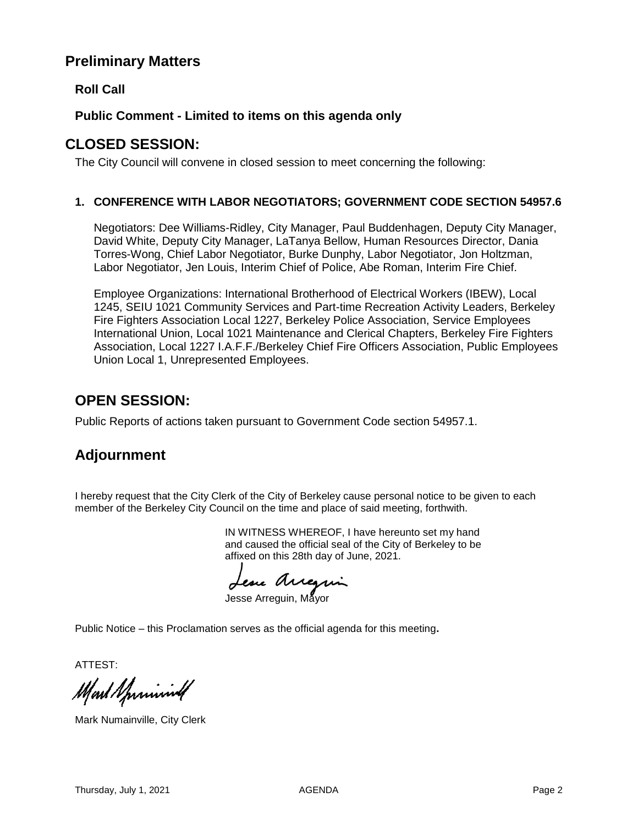## **Preliminary Matters**

**Roll Call**

### **Public Comment - Limited to items on this agenda only**

## **CLOSED SESSION:**

The City Council will convene in closed session to meet concerning the following:

#### **1. CONFERENCE WITH LABOR NEGOTIATORS; GOVERNMENT CODE SECTION 54957.6**

Negotiators: Dee Williams-Ridley, City Manager, Paul Buddenhagen, Deputy City Manager, David White, Deputy City Manager, LaTanya Bellow, Human Resources Director, Dania Torres-Wong, Chief Labor Negotiator, Burke Dunphy, Labor Negotiator, Jon Holtzman, Labor Negotiator, Jen Louis, Interim Chief of Police, Abe Roman, Interim Fire Chief.

Employee Organizations: International Brotherhood of Electrical Workers (IBEW), Local 1245, SEIU 1021 Community Services and Part-time Recreation Activity Leaders, Berkeley Fire Fighters Association Local 1227, Berkeley Police Association, Service Employees International Union, Local 1021 Maintenance and Clerical Chapters, Berkeley Fire Fighters Association, Local 1227 I.A.F.F./Berkeley Chief Fire Officers Association, Public Employees Union Local 1, Unrepresented Employees.

# **OPEN SESSION:**

Public Reports of actions taken pursuant to Government Code section 54957.1.

# **Adjournment**

I hereby request that the City Clerk of the City of Berkeley cause personal notice to be given to each member of the Berkeley City Council on the time and place of said meeting, forthwith.

> IN WITNESS WHEREOF, I have hereunto set my hand and caused the official seal of the City of Berkeley to be affixed on this 28th day of June, 2021.

Lesse Arregin

Jesse Arreguin, Mayor

Public Notice – this Proclamation serves as the official agenda for this meeting**.**

ATTEST:

Mart Sprinning

Mark Numainville, City Clerk